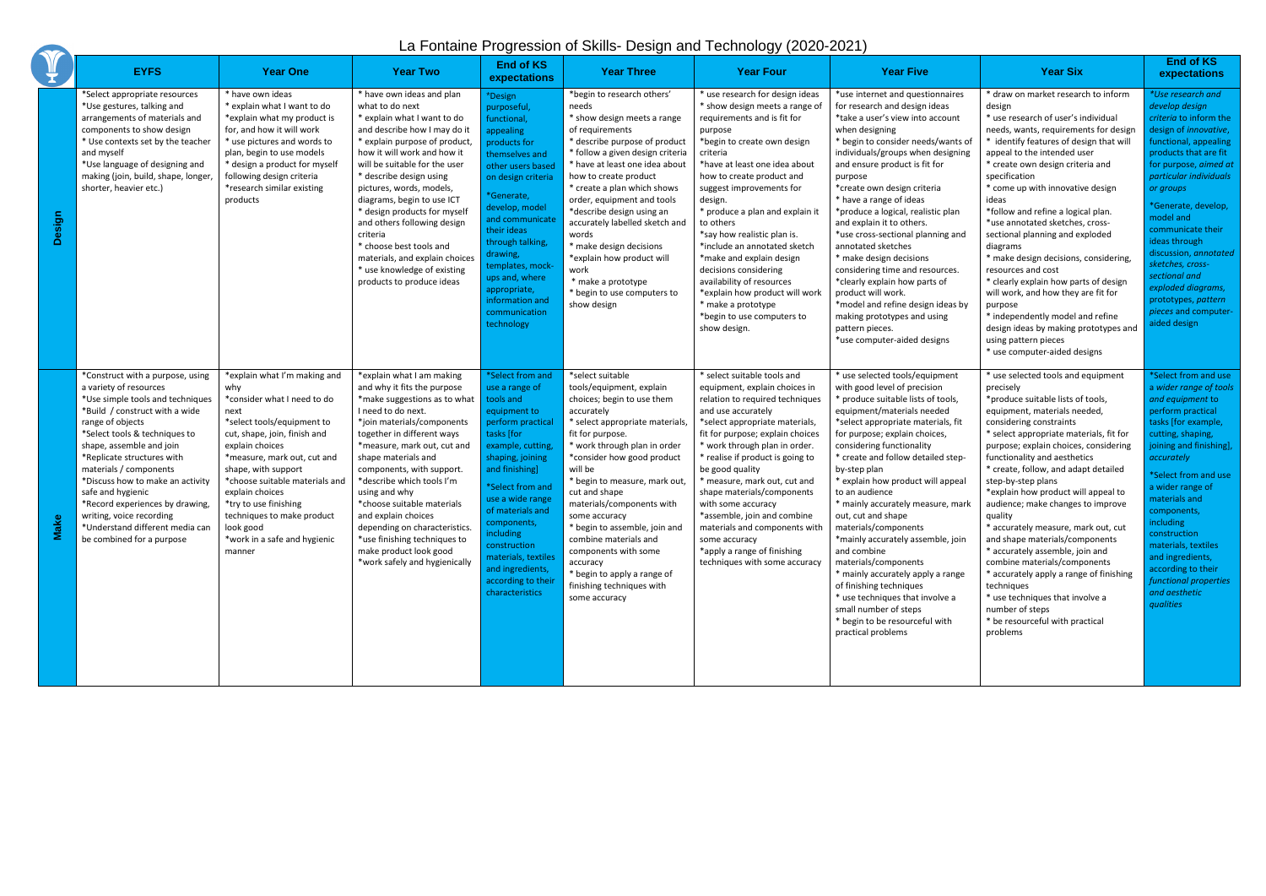## La Fontaine Progression of Skills- Design and Technology (2020-2021)

|          | <b>EYFS</b>                                                                                                                                                                                                                                                                                                                                                                                                                                                       | <b>Year One</b>                                                                                                                                                                                                                                                                                                                                                                      | <b>Year Two</b>                                                                                                                                                                                                                                                                                                                                                                                                                                                                                       | <b>End of KS</b><br>expectations                                                                                                                                                                                                                                                                                                                         | <b>Year Three</b>                                                                                                                                                                                                                                                                                                                                                                                                                                                                                   | <b>Year Four</b>                                                                                                                                                                                                                                                                                                                                                                                                                                                                                                                                                   | <b>Year Five</b>                                                                                                                                                                                                                                                                                                                                                                                                                                                                                                                                                                                                                                                                                       | <b>Year Six</b>                                                                                                                                                                                                                                                                                                                                                                                                                                                                                                                                                                                                                                                                                                                    | <b>End of KS</b><br>expectations                                                                                                                                                                                                                                                                                                                                                                                                      |
|----------|-------------------------------------------------------------------------------------------------------------------------------------------------------------------------------------------------------------------------------------------------------------------------------------------------------------------------------------------------------------------------------------------------------------------------------------------------------------------|--------------------------------------------------------------------------------------------------------------------------------------------------------------------------------------------------------------------------------------------------------------------------------------------------------------------------------------------------------------------------------------|-------------------------------------------------------------------------------------------------------------------------------------------------------------------------------------------------------------------------------------------------------------------------------------------------------------------------------------------------------------------------------------------------------------------------------------------------------------------------------------------------------|----------------------------------------------------------------------------------------------------------------------------------------------------------------------------------------------------------------------------------------------------------------------------------------------------------------------------------------------------------|-----------------------------------------------------------------------------------------------------------------------------------------------------------------------------------------------------------------------------------------------------------------------------------------------------------------------------------------------------------------------------------------------------------------------------------------------------------------------------------------------------|--------------------------------------------------------------------------------------------------------------------------------------------------------------------------------------------------------------------------------------------------------------------------------------------------------------------------------------------------------------------------------------------------------------------------------------------------------------------------------------------------------------------------------------------------------------------|--------------------------------------------------------------------------------------------------------------------------------------------------------------------------------------------------------------------------------------------------------------------------------------------------------------------------------------------------------------------------------------------------------------------------------------------------------------------------------------------------------------------------------------------------------------------------------------------------------------------------------------------------------------------------------------------------------|------------------------------------------------------------------------------------------------------------------------------------------------------------------------------------------------------------------------------------------------------------------------------------------------------------------------------------------------------------------------------------------------------------------------------------------------------------------------------------------------------------------------------------------------------------------------------------------------------------------------------------------------------------------------------------------------------------------------------------|---------------------------------------------------------------------------------------------------------------------------------------------------------------------------------------------------------------------------------------------------------------------------------------------------------------------------------------------------------------------------------------------------------------------------------------|
| Design   | *Select appropriate resources<br>*Use gestures, talking and<br>arrangements of materials and<br>components to show design<br>* Use contexts set by the teacher<br>and myself<br>*Use language of designing and<br>making (join, build, shape, longer<br>shorter, heavier etc.)                                                                                                                                                                                    | * have own ideas<br>* explain what I want to do<br>*explain what my product is<br>for, and how it will work<br>* use pictures and words to<br>plan, begin to use models<br>* design a product for myself<br>following design criteria<br>*research similar existing<br>products                                                                                                      | * have own ideas and plan<br>what to do next<br>* explain what I want to do<br>and describe how I may do it<br>* explain purpose of product,<br>how it will work and how it<br>will be suitable for the user<br>* describe design using<br>pictures, words, models,<br>diagrams, begin to use ICT<br>* design products for myself<br>and others following design<br>criteria<br>* choose best tools and<br>materials, and explain choices<br>* use knowledge of existing<br>products to produce ideas | *Design<br>purposeful,<br>functional,<br>appealing<br>products for<br>themselves and<br>other users based<br>on design criteria<br>*Generate,<br>develop, model<br>and communicate<br>their ideas<br>through talking,<br>drawing,<br>templates, mock-<br>ups and, where<br>appropriate,<br>information and<br>communication<br>technology                | *begin to research others'<br>needs<br>* show design meets a range<br>of requirements<br>* describe purpose of product<br>* follow a given design criteria<br>* have at least one idea about<br>how to create product<br>* create a plan which shows<br>order, equipment and tools<br>*describe design using an<br>accurately labelled sketch and<br>words<br>* make design decisions<br>*explain how product will<br>work<br>* make a prototype<br>begin to use computers to<br>show design        | * use research for design ideas<br>* show design meets a range of<br>requirements and is fit for<br>purpose<br>*begin to create own design<br>criteria<br>*have at least one idea about<br>how to create product and<br>suggest improvements for<br>design.<br>* produce a plan and explain it<br>to others<br>*say how realistic plan is.<br>*include an annotated sketch<br>*make and explain design<br>decisions considering<br>availability of resources<br>*explain how product will work<br>* make a prototype<br>*begin to use computers to<br>show design. | *use internet and questionnaires<br>for research and design ideas<br>*take a user's view into account<br>when designing<br>* begin to consider needs/wants of<br>individuals/groups when designing<br>and ensure product is fit for<br>purpose<br>*create own design criteria<br>* have a range of ideas<br>*produce a logical, realistic plan<br>and explain it to others.<br>*use cross-sectional planning and<br>annotated sketches<br>* make design decisions<br>considering time and resources.<br>*clearly explain how parts of<br>product will work.<br>*model and refine design ideas by<br>making prototypes and using<br>pattern pieces.<br>*use computer-aided designs                      | * draw on market research to inform<br>design<br>* use research of user's individual<br>needs, wants, requirements for design<br>* identify features of design that will<br>appeal to the intended user<br>* create own design criteria and<br>specification<br>* come up with innovative design<br>ideas<br>*follow and refine a logical plan.<br>*use annotated sketches, cross-<br>sectional planning and exploded<br>diagrams<br>* make design decisions, considering,<br>resources and cost<br>* clearly explain how parts of design<br>will work, and how they are fit for<br>purpose<br>* independently model and refine<br>design ideas by making prototypes and<br>using pattern pieces<br>* use computer-aided designs   | *Use research and<br>develop design<br>criteria to inform the<br>design of innovative,<br>functional, appealing<br>products that are fit<br>for purpose, aimed at<br>particular individuals<br>or groups<br>*Generate, develop,<br>model and<br>communicate their<br>ideas through<br>discussion, annotated<br>sketches, cross-<br>sectional and<br>exploded diagrams,<br>prototypes, pattern<br>pieces and computer-<br>aided design |
| ake<br>Σ | *Construct with a purpose, using<br>a variety of resources<br>*Use simple tools and techniques<br>*Build / construct with a wide<br>range of objects<br>*Select tools & techniques to<br>shape, assemble and join<br>*Replicate structures with<br>materials / components<br>*Discuss how to make an activity<br>safe and hygienic<br>*Record experiences by drawing,<br>writing, voice recording<br>*Understand different media can<br>be combined for a purpose | *explain what I'm making and<br>why<br>*consider what I need to do<br>next<br>*select tools/equipment to<br>cut, shape, join, finish and<br>explain choices<br>*measure, mark out, cut and<br>shape, with support<br>*choose suitable materials and<br>explain choices<br>*try to use finishing<br>techniques to make product<br>look good<br>*work in a safe and hygienic<br>manner | *explain what I am making<br>and why it fits the purpose<br>*make suggestions as to what<br>I need to do next.<br>*join materials/components<br>together in different ways<br>*measure, mark out, cut and<br>shape materials and<br>components, with support.<br>*describe which tools I'm<br>using and why<br>*choose suitable materials<br>and explain choices<br>depending on characteristics.<br>*use finishing techniques to<br>make product look good<br>*work safely and hygienically          | *Select from and<br>use a range of<br>tools and<br>equipment to<br>perform practical<br>tasks [for<br>example, cutting,<br>shaping, joining<br>and finishing]<br>*Select from and<br>use a wide range<br>of materials and<br>components,<br>nciuaing<br>construction<br>materials, textiles<br>and ingredients,<br>according to their<br>characteristics | *select suitable<br>tools/equipment, explain<br>choices; begin to use them<br>accurately<br>* select appropriate materials,<br>fit for purpose.<br>* work through plan in order<br>*consider how good product<br>will be<br>* begin to measure, mark out,<br>cut and shape<br>materials/components with<br>some accuracy<br>* begin to assemble, join and<br>combine materials and<br>components with some<br>accuracy<br>* begin to apply a range of<br>finishing techniques with<br>some accuracy | * select suitable tools and<br>equipment, explain choices in<br>relation to required techniques<br>and use accurately<br>*select appropriate materials,<br>fit for purpose; explain choices<br>* work through plan in order.<br>* realise if product is going to<br>be good quality<br>* measure, mark out, cut and<br>shape materials/components<br>with some accuracy<br>*assemble, join and combine<br>materials and components with<br>some accuracy<br>*apply a range of finishing<br>techniques with some accuracy                                           | * use selected tools/equipment<br>with good level of precision<br>* produce suitable lists of tools,<br>equipment/materials needed<br>*select appropriate materials, fit<br>for purpose; explain choices,<br>considering functionality<br>* create and follow detailed step-<br>by-step plan<br>* explain how product will appeal<br>to an audience<br>* mainly accurately measure, mark<br>out, cut and shape<br>materials/components<br>*mainly accurately assemble, join<br>and combine<br>materials/components<br>* mainly accurately apply a range<br>of finishing techniques<br>* use techniques that involve a<br>small number of steps<br>* begin to be resourceful with<br>practical problems | * use selected tools and equipment<br>precisely<br>*produce suitable lists of tools,<br>equipment, materials needed,<br>considering constraints<br>* select appropriate materials, fit for<br>purpose; explain choices, considering<br>functionality and aesthetics<br>* create, follow, and adapt detailed<br>step-by-step plans<br>*explain how product will appeal to<br>audience; make changes to improve<br>quality<br>* accurately measure, mark out, cut<br>and shape materials/components<br>* accurately assemble, join and<br>combine materials/components<br>* accurately apply a range of finishing<br>techniques<br>* use techniques that involve a<br>number of steps<br>* be resourceful with practical<br>problems | *Select from and use<br>a wider range of tools<br>and equipment to<br>perform practical<br>tasks [for example,<br>cutting, shaping,<br>joining and finishing],<br>accurately<br>*Select from and use<br>a wider range of<br>materials and<br>components,<br><i>including</i><br>construction<br>materials, textiles<br>and ingredients,<br>according to their<br>functional properties<br>and aesthetic<br>qualities                  |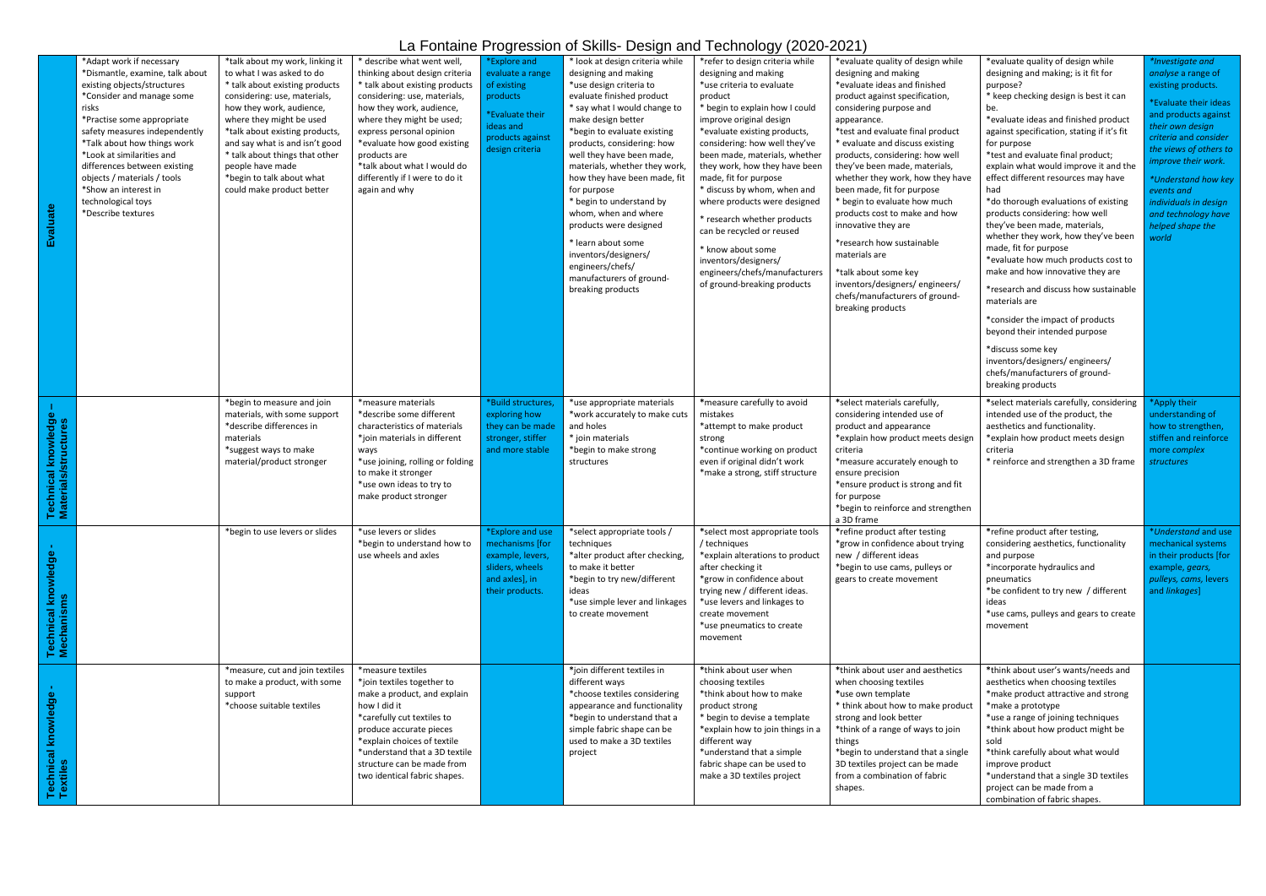## La Fontaine Progression of Skills- Design and Technology (2020-2021)

|                                                       |                                                                                                                                                                                                                                                                                                                                                                                                |                                                                                                                                                                                                                                                                                                                                                                            |                                                                                                                                                                                                                                                                                                                                                      |                                                                                                                                    |                                                                                                                                                                                                                                                                                                                                                                                                                                                                                                                                                  | $\alpha$ , ontains , regression or online beerginaria redimensity (2020-2021)                                                                                                                                                                                                                                                                                                                                                                                                                                                                                    |                                                                                                                                                                                                                                                                                                                                                                                                                                                                                                                                                                                                                                           |                                                                                                                                                                                                                                                                                                                                                                                                                                                                                                                                                                                                                                                                                                                                                                                                                                                                          |                                                                                                                                                                                                                                                                                                                               |
|-------------------------------------------------------|------------------------------------------------------------------------------------------------------------------------------------------------------------------------------------------------------------------------------------------------------------------------------------------------------------------------------------------------------------------------------------------------|----------------------------------------------------------------------------------------------------------------------------------------------------------------------------------------------------------------------------------------------------------------------------------------------------------------------------------------------------------------------------|------------------------------------------------------------------------------------------------------------------------------------------------------------------------------------------------------------------------------------------------------------------------------------------------------------------------------------------------------|------------------------------------------------------------------------------------------------------------------------------------|--------------------------------------------------------------------------------------------------------------------------------------------------------------------------------------------------------------------------------------------------------------------------------------------------------------------------------------------------------------------------------------------------------------------------------------------------------------------------------------------------------------------------------------------------|------------------------------------------------------------------------------------------------------------------------------------------------------------------------------------------------------------------------------------------------------------------------------------------------------------------------------------------------------------------------------------------------------------------------------------------------------------------------------------------------------------------------------------------------------------------|-------------------------------------------------------------------------------------------------------------------------------------------------------------------------------------------------------------------------------------------------------------------------------------------------------------------------------------------------------------------------------------------------------------------------------------------------------------------------------------------------------------------------------------------------------------------------------------------------------------------------------------------|--------------------------------------------------------------------------------------------------------------------------------------------------------------------------------------------------------------------------------------------------------------------------------------------------------------------------------------------------------------------------------------------------------------------------------------------------------------------------------------------------------------------------------------------------------------------------------------------------------------------------------------------------------------------------------------------------------------------------------------------------------------------------------------------------------------------------------------------------------------------------|-------------------------------------------------------------------------------------------------------------------------------------------------------------------------------------------------------------------------------------------------------------------------------------------------------------------------------|
|                                                       | *Adapt work if necessary<br>*Dismantle, examine, talk about<br>existing objects/structures<br>*Consider and manage some<br>risks<br>*Practise some appropriate<br>safety measures independently<br>*Talk about how things work<br>*Look at similarities and<br>differences between existing<br>objects / materials / tools<br>*Show an interest in<br>technological toys<br>*Describe textures | *talk about my work, linking it<br>to what I was asked to do<br>* talk about existing products<br>considering: use, materials,<br>how they work, audience,<br>where they might be used<br>*talk about existing products,<br>and say what is and isn't good<br>* talk about things that other<br>people have made<br>*begin to talk about what<br>could make product better | * describe what went well,<br>thinking about design criteria<br>* talk about existing products<br>considering: use, materials,<br>how they work, audience,<br>where they might be used;<br>express personal opinion<br>*evaluate how good existing<br>products are<br>*talk about what I would do<br>differently if I were to do it<br>again and why | *Explore and<br>evaluate a range<br>of existing<br>products<br>*Evaluate their<br>ideas and<br>products against<br>design criteria | * look at design criteria while<br>designing and making<br>*use design criteria to<br>evaluate finished product<br>* say what I would change to<br>make design better<br>*begin to evaluate existing<br>products, considering: how<br>well they have been made,<br>materials, whether they work,<br>how they have been made, fit<br>for purpose<br>* begin to understand by<br>whom, when and where<br>products were designed<br>* learn about some<br>inventors/designers/<br>engineers/chefs/<br>manufacturers of ground-<br>breaking products | *refer to design criteria while<br>designing and making<br>*use criteria to evaluate<br>product<br>* begin to explain how I could<br>improve original design<br>*evaluate existing products,<br>considering: how well they've<br>been made, materials, whether<br>they work, how they have been<br>made, fit for purpose<br>* discuss by whom, when and<br>where products were designed<br>* research whether products<br>can be recycled or reused<br>* know about some<br>inventors/designers/<br>engineers/chefs/manufacturers<br>of ground-breaking products | *evaluate quality of design while<br>designing and making<br>*evaluate ideas and finished<br>product against specification,<br>considering purpose and<br>appearance.<br>*test and evaluate final product<br>* evaluate and discuss existing<br>products, considering: how well<br>they've been made, materials,<br>whether they work, how they have<br>been made, fit for purpose<br>* begin to evaluate how much<br>products cost to make and how<br>innovative they are<br>*research how sustainable<br>materials are<br>*talk about some key<br>inventors/designers/engineers/<br>chefs/manufacturers of ground-<br>breaking products | *evaluate quality of design while<br>designing and making; is it fit for<br>purpose?<br>* keep checking design is best it can<br>be.<br>*evaluate ideas and finished product<br>against specification, stating if it's fit<br>for purpose<br>*test and evaluate final product;<br>explain what would improve it and the<br>effect different resources may have<br>had<br>*do thorough evaluations of existing<br>products considering: how well<br>they've been made, materials,<br>whether they work, how they've been<br>made, fit for purpose<br>*evaluate how much products cost to<br>make and how innovative they are<br>*research and discuss how sustainable<br>materials are<br>*consider the impact of products<br>beyond their intended purpose<br>*discuss some key<br>inventors/designers/engineers/<br>chefs/manufacturers of ground-<br>breaking products | *Investigate and<br>analyse a range of<br>existing products.<br>*Evaluate their ideas<br>and products against<br>their own design<br>criteria and consider<br>the views of others to<br>improve their work.<br>*Understand how key<br>events and<br>individuals in design<br>and technology have<br>helped shape the<br>world |
| l knowledge<br>/structures<br>$\overline{\mathbf{a}}$ |                                                                                                                                                                                                                                                                                                                                                                                                | *begin to measure and join<br>materials, with some support<br>*describe differences in<br>materials<br>*suggest ways to make<br>material/product stronger                                                                                                                                                                                                                  | *measure materials<br>*describe some different<br>characteristics of materials<br>*join materials in different<br>ways<br>*use joining, rolling or folding<br>to make it stronger<br>*use own ideas to try to<br>make product stronger                                                                                                               | *Build structures,<br>exploring how<br>they can be made<br>stronger, stiffer<br>and more stable                                    | *use appropriate materials<br>*work accurately to make cuts<br>and holes<br>* join materials<br>*begin to make strong<br>structures                                                                                                                                                                                                                                                                                                                                                                                                              | *measure carefully to avoid<br>mistakes<br>*attempt to make product<br>strong<br>*continue working on product<br>even if original didn't work<br>*make a strong, stiff structure                                                                                                                                                                                                                                                                                                                                                                                 | *select materials carefully,<br>considering intended use of<br>product and appearance<br>*explain how product meets design<br>criteria<br>*measure accurately enough to<br>ensure precision<br>*ensure product is strong and fit<br>for purpose<br>*begin to reinforce and strengthen<br>a 3D frame                                                                                                                                                                                                                                                                                                                                       | *select materials carefully, considering<br>intended use of the product, the<br>aesthetics and functionality.<br>*explain how product meets design<br>criteria<br>* reinforce and strengthen a 3D frame                                                                                                                                                                                                                                                                                                                                                                                                                                                                                                                                                                                                                                                                  | *Apply their<br>understanding of<br>how to strengthen,<br>stiffen and reinforce<br>more complex<br>structures                                                                                                                                                                                                                 |
| wledge<br>Technical knov<br>Mechanisms                |                                                                                                                                                                                                                                                                                                                                                                                                | *begin to use levers or slides                                                                                                                                                                                                                                                                                                                                             | *use levers or slides<br>*begin to understand how to<br>use wheels and axles                                                                                                                                                                                                                                                                         | *Explore and use<br>mechanisms [for<br>example, levers,<br>sliders, wheels<br>and axles], in<br>their products.                    | *select appropriate tools /<br>techniques<br>*alter product after checking,<br>to make it better<br>*begin to try new/different<br>ideas<br>*use simple lever and linkages<br>to create movement                                                                                                                                                                                                                                                                                                                                                 | *select most appropriate tools<br>/ techniques<br>*explain alterations to product<br>after checking it<br>*grow in confidence about<br>trying new / different ideas.<br>*use levers and linkages to<br>create movement<br>*use pneumatics to create<br>movement                                                                                                                                                                                                                                                                                                  | *refine product after testing<br>*grow in confidence about trying<br>new / different ideas<br>*begin to use cams, pulleys or<br>gears to create movement                                                                                                                                                                                                                                                                                                                                                                                                                                                                                  | *refine product after testing,<br>considering aesthetics, functionality<br>and purpose<br>*incorporate hydraulics and<br>pneumatics<br>*be confident to try new / different<br>ideas<br>*use cams, pulleys and gears to create<br>movement                                                                                                                                                                                                                                                                                                                                                                                                                                                                                                                                                                                                                               | *Understand and use<br>mechanical systems<br>in their products [for<br>example, gears,<br>pulleys, cams, levers<br>and linkages]                                                                                                                                                                                              |
| wledge<br>Technical kno<br>Textiles                   |                                                                                                                                                                                                                                                                                                                                                                                                | *measure, cut and join textiles<br>to make a product, with some<br>support<br>*choose suitable textiles                                                                                                                                                                                                                                                                    | *measure textiles<br>*join textiles together to<br>make a product, and explain<br>how I did it<br>*carefully cut textiles to<br>produce accurate pieces<br>*explain choices of textile<br>*understand that a 3D textile<br>structure can be made from<br>two identical fabric shapes.                                                                |                                                                                                                                    | *join different textiles in<br>different ways<br>*choose textiles considering<br>appearance and functionality<br>*begin to understand that a<br>simple fabric shape can be<br>used to make a 3D textiles<br>project                                                                                                                                                                                                                                                                                                                              | *think about user when<br>choosing textiles<br>*think about how to make<br>product strong<br>* begin to devise a template<br>*explain how to join things in a<br>different way<br>*understand that a simple<br>fabric shape can be used to<br>make a 3D textiles project                                                                                                                                                                                                                                                                                         | *think about user and aesthetics<br>when choosing textiles<br>*use own template<br>* think about how to make product<br>strong and look better<br>*think of a range of ways to join<br>things<br>*begin to understand that a single<br>3D textiles project can be made<br>from a combination of fabric<br>shapes.                                                                                                                                                                                                                                                                                                                         | *think about user's wants/needs and<br>aesthetics when choosing textiles<br>*make product attractive and strong<br>*make a prototype<br>*use a range of joining techniques<br>*think about how product might be<br>sold<br>*think carefully about what would<br>improve product<br>*understand that a single 3D textiles<br>project can be made from a<br>combination of fabric shapes.                                                                                                                                                                                                                                                                                                                                                                                                                                                                                  |                                                                                                                                                                                                                                                                                                                               |